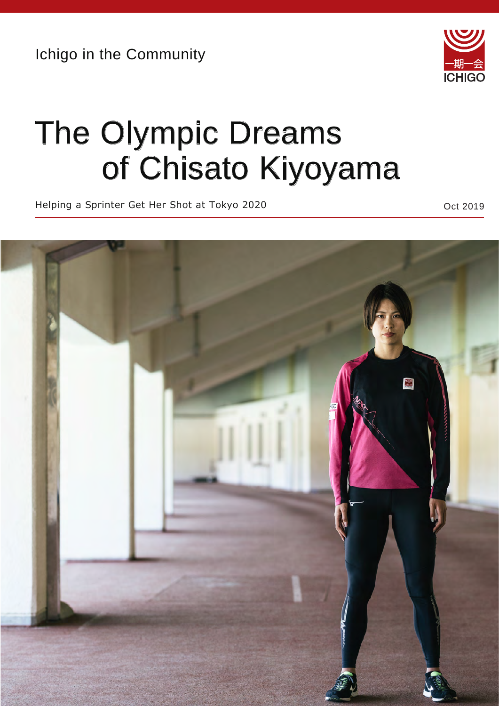Ichigo in the Community



## The Olympic Dreams of Chisato Kiyoyama

Helping a Sprinter Get Her Shot at Tokyo 2020 **Communist Contract 2019** Oct 2019

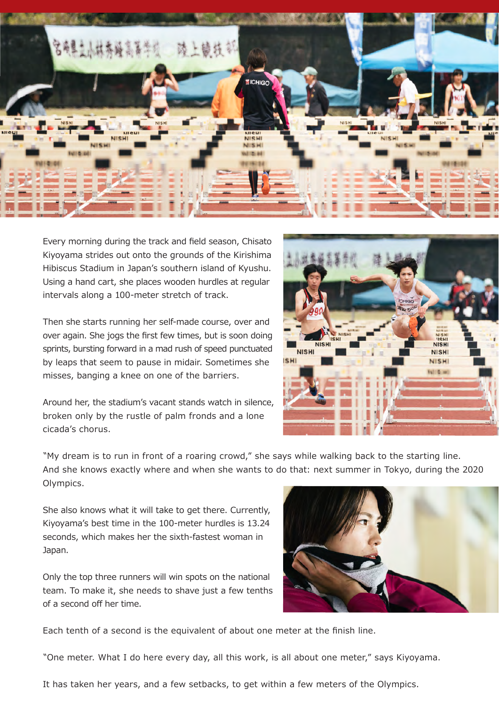

Every morning during the track and field season, Chisato Kiyoyama strides out onto the grounds of the Kirishima Hibiscus Stadium in Japan's southern island of Kyushu. Using a hand cart, she places wooden hurdles at regular intervals along a 100-meter stretch of track.

Then she starts running her self-made course, over and over again. She jogs the first few times, but is soon doing sprints, bursting forward in a mad rush of speed punctuated by leaps that seem to pause in midair. Sometimes she misses, banging a knee on one of the barriers.

Around her, the stadium's vacant stands watch in silence, broken only by the rustle of palm fronds and a lone cicada's chorus.



"My dream is to run in front of a roaring crowd," she says while walking back to the starting line. And she knows exactly where and when she wants to do that: next summer in Tokyo, during the 2020 Olympics.

She also knows what it will take to get there. Currently, Kiyoyama's best time in the 100-meter hurdles is 13.24 seconds, which makes her the sixth-fastest woman in Japan.

Only the top three runners will win spots on the national team. To make it, she needs to shave just a few tenths of a second off her time.



Each tenth of a second is the equivalent of about one meter at the finish line.

"One meter. What I do here every day, all this work, is all about one meter," says Kiyoyama.

It has taken her years, and a few setbacks, to get within a few meters of the Olympics.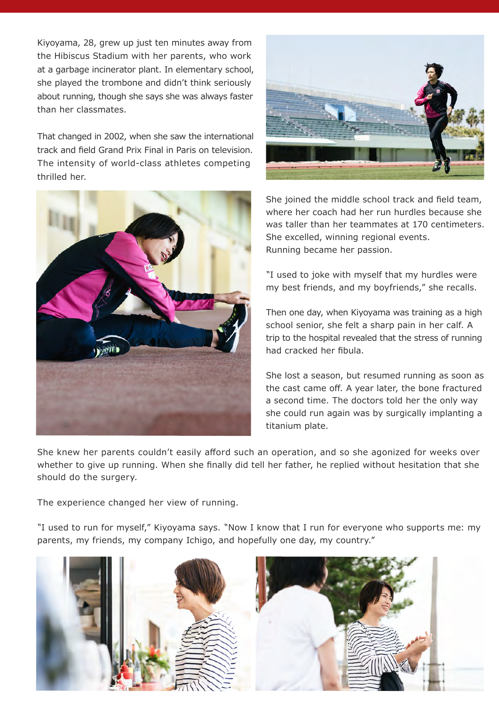Kiyoyama, 28, grew up just ten minutes away from the Hibiscus Stadium with her parents, who work at a garbage incinerator plant. In elementary school, she played the trombone and didn't think seriously about running, though she says she was always faster than her classmates.

That changed in 2002, when she saw the international track and field Grand Prix Final in Paris on television. The intensity of world-class athletes competing thrilled her.





She joined the middle school track and field team, where her coach had her run hurdles because she was taller than her teammates at 170 centimeters. She excelled, winning regional events. Running became her passion.

"I used to joke with myself that my hurdles were my best friends, and my boyfriends," she recalls.

Then one day, when Kiyoyama was training as a high school senior, she felt a sharp pain in her calf. A trip to the hospital revealed that the stress of running had cracked her fibula.

She lost a season, but resumed running as soon as the cast came off. A year later, the bone fractured a second time. The doctors told her the only way she could run again was by surgically implanting a titanium plate.

She knew her parents couldn't easily afford such an operation, and so she agonized for weeks over whether to give up running. When she finally did tell her father, he replied without hesitation that she should do the surgery.

The experience changed her view of running.

"I used to run for myself," Kiyoyama says. "Now I know that I run for everyone who supports me: my parents, my friends, my company Ichigo, and hopefully one day, my country."